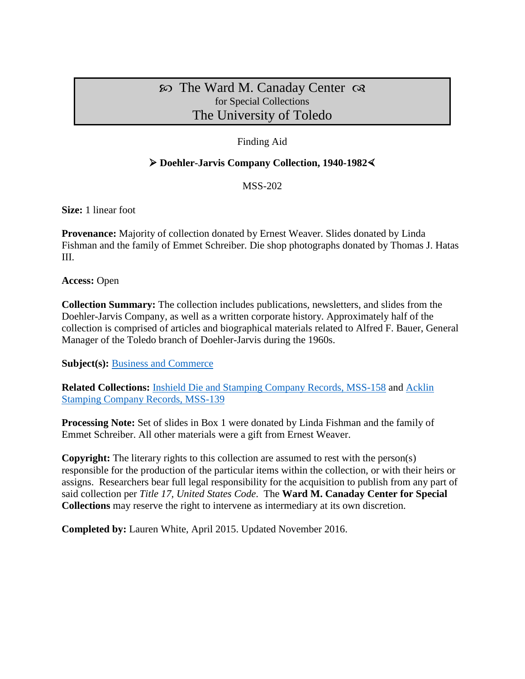# $\infty$  The Ward M. Canaday Center  $\infty$ for Special Collections The University of Toledo

## Finding Aid

### **Doehler-Jarvis Company Collection, 1940-1982**

MSS-202

**Size:** 1 linear foot

**Provenance:** Majority of collection donated by Ernest Weaver. Slides donated by Linda Fishman and the family of Emmet Schreiber. Die shop photographs donated by Thomas J. Hatas III.

**Access:** Open

**Collection Summary:** The collection includes publications, newsletters, and slides from the Doehler-Jarvis Company, as well as a written corporate history. Approximately half of the collection is comprised of articles and biographical materials related to Alfred F. Bauer, General Manager of the Toledo branch of Doehler-Jarvis during the 1960s.

**Subject(s):** [Business and Commerce](http://www.utoledo.edu/library/canaday/guidepages/business.html)

**Related Collections:** [Inshield Die and Stamping Company Records, MSS-158](http://www.utoledo.edu/library/canaday/HTML_findingaids/MSS-158.html) and [Acklin](http://www.utoledo.edu/library/canaday/HTML_findingaids/MSS-139.htm)  [Stamping Company Records, MSS-139](http://www.utoledo.edu/library/canaday/HTML_findingaids/MSS-139.htm)

**Processing Note:** Set of slides in Box 1 were donated by Linda Fishman and the family of Emmet Schreiber. All other materials were a gift from Ernest Weaver.

**Copyright:** The literary rights to this collection are assumed to rest with the person(s) responsible for the production of the particular items within the collection, or with their heirs or assigns. Researchers bear full legal responsibility for the acquisition to publish from any part of said collection per *Title 17, United States Code*. The **Ward M. Canaday Center for Special Collections** may reserve the right to intervene as intermediary at its own discretion.

**Completed by:** Lauren White, April 2015. Updated November 2016.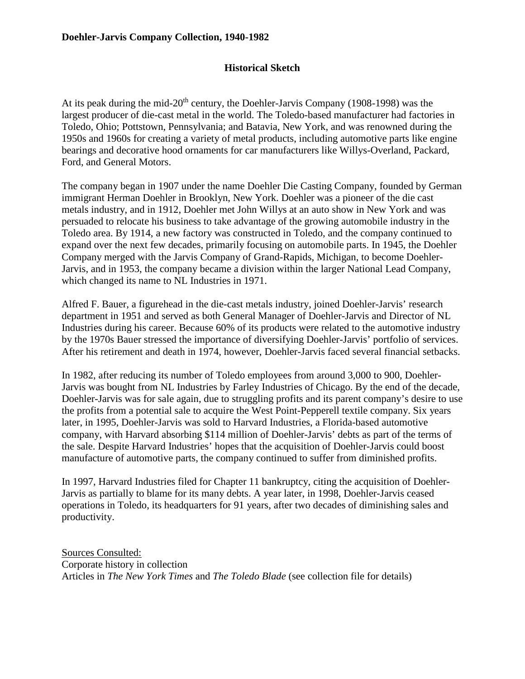## **Historical Sketch**

At its peak during the mid-20<sup>th</sup> century, the Doehler-Jarvis Company (1908-1998) was the largest producer of die-cast metal in the world. The Toledo-based manufacturer had factories in Toledo, Ohio; Pottstown, Pennsylvania; and Batavia, New York, and was renowned during the 1950s and 1960s for creating a variety of metal products, including automotive parts like engine bearings and decorative hood ornaments for car manufacturers like Willys-Overland, Packard, Ford, and General Motors.

The company began in 1907 under the name Doehler Die Casting Company, founded by German immigrant Herman Doehler in Brooklyn, New York. Doehler was a pioneer of the die cast metals industry, and in 1912, Doehler met John Willys at an auto show in New York and was persuaded to relocate his business to take advantage of the growing automobile industry in the Toledo area. By 1914, a new factory was constructed in Toledo, and the company continued to expand over the next few decades, primarily focusing on automobile parts. In 1945, the Doehler Company merged with the Jarvis Company of Grand-Rapids, Michigan, to become Doehler-Jarvis, and in 1953, the company became a division within the larger National Lead Company, which changed its name to NL Industries in 1971.

Alfred F. Bauer, a figurehead in the die-cast metals industry, joined Doehler-Jarvis' research department in 1951 and served as both General Manager of Doehler-Jarvis and Director of NL Industries during his career. Because 60% of its products were related to the automotive industry by the 1970s Bauer stressed the importance of diversifying Doehler-Jarvis' portfolio of services. After his retirement and death in 1974, however, Doehler-Jarvis faced several financial setbacks.

In 1982, after reducing its number of Toledo employees from around 3,000 to 900, Doehler-Jarvis was bought from NL Industries by Farley Industries of Chicago. By the end of the decade, Doehler-Jarvis was for sale again, due to struggling profits and its parent company's desire to use the profits from a potential sale to acquire the West Point-Pepperell textile company. Six years later, in 1995, Doehler-Jarvis was sold to Harvard Industries, a Florida-based automotive company, with Harvard absorbing \$114 million of Doehler-Jarvis' debts as part of the terms of the sale. Despite Harvard Industries' hopes that the acquisition of Doehler-Jarvis could boost manufacture of automotive parts, the company continued to suffer from diminished profits.

In 1997, Harvard Industries filed for Chapter 11 bankruptcy, citing the acquisition of Doehler-Jarvis as partially to blame for its many debts. A year later, in 1998, Doehler-Jarvis ceased operations in Toledo, its headquarters for 91 years, after two decades of diminishing sales and productivity.

Sources Consulted: Corporate history in collection Articles in *The New York Times* and *The Toledo Blade* (see collection file for details)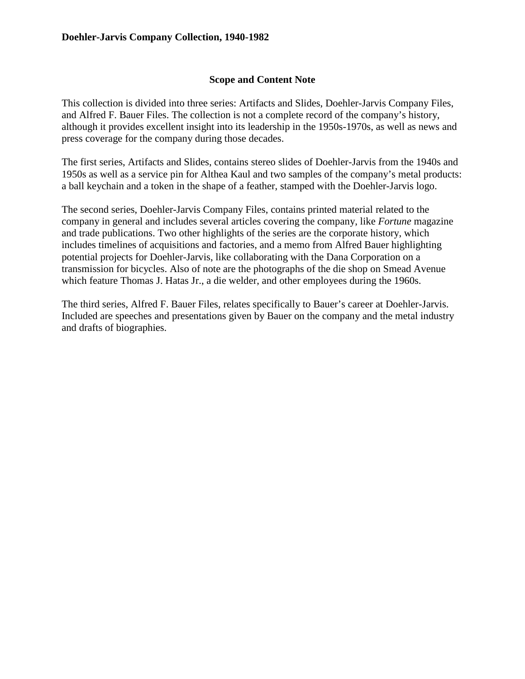### **Scope and Content Note**

This collection is divided into three series: Artifacts and Slides, Doehler-Jarvis Company Files, and Alfred F. Bauer Files. The collection is not a complete record of the company's history, although it provides excellent insight into its leadership in the 1950s-1970s, as well as news and press coverage for the company during those decades.

The first series, Artifacts and Slides, contains stereo slides of Doehler-Jarvis from the 1940s and 1950s as well as a service pin for Althea Kaul and two samples of the company's metal products: a ball keychain and a token in the shape of a feather, stamped with the Doehler-Jarvis logo.

The second series, Doehler-Jarvis Company Files, contains printed material related to the company in general and includes several articles covering the company, like *Fortune* magazine and trade publications. Two other highlights of the series are the corporate history, which includes timelines of acquisitions and factories, and a memo from Alfred Bauer highlighting potential projects for Doehler-Jarvis, like collaborating with the Dana Corporation on a transmission for bicycles. Also of note are the photographs of the die shop on Smead Avenue which feature Thomas J. Hatas Jr., a die welder, and other employees during the 1960s.

The third series, Alfred F. Bauer Files, relates specifically to Bauer's career at Doehler-Jarvis. Included are speeches and presentations given by Bauer on the company and the metal industry and drafts of biographies.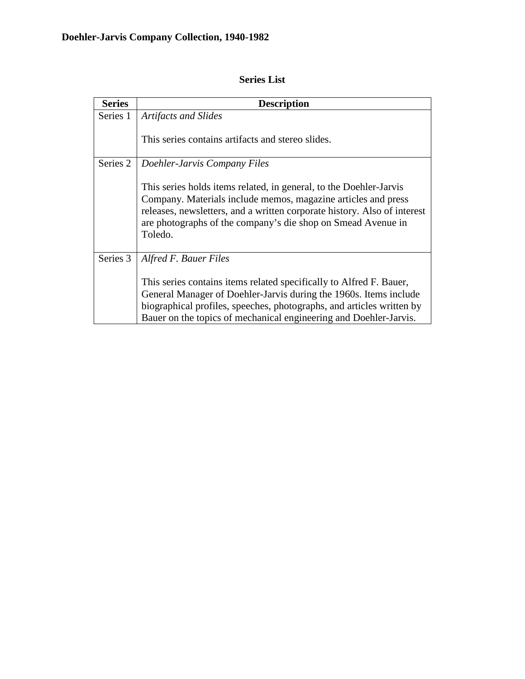| <b>Series</b> | <b>Description</b>                                                                                                                                                                                                                                                                         |  |
|---------------|--------------------------------------------------------------------------------------------------------------------------------------------------------------------------------------------------------------------------------------------------------------------------------------------|--|
| Series 1      | <b>Artifacts and Slides</b>                                                                                                                                                                                                                                                                |  |
|               | This series contains artifacts and stereo slides.                                                                                                                                                                                                                                          |  |
| Series 2      | Doehler-Jarvis Company Files                                                                                                                                                                                                                                                               |  |
|               | This series holds items related, in general, to the Doehler-Jarvis<br>Company. Materials include memos, magazine articles and press<br>releases, newsletters, and a written corporate history. Also of interest<br>are photographs of the company's die shop on Smead Avenue in<br>Toledo. |  |
| Series 3      | Alfred F. Bauer Files                                                                                                                                                                                                                                                                      |  |
|               | This series contains items related specifically to Alfred F. Bauer,                                                                                                                                                                                                                        |  |
|               | General Manager of Doehler-Jarvis during the 1960s. Items include                                                                                                                                                                                                                          |  |
|               | biographical profiles, speeches, photographs, and articles written by<br>Bauer on the topics of mechanical engineering and Doehler-Jarvis.                                                                                                                                                 |  |

# **Series List**